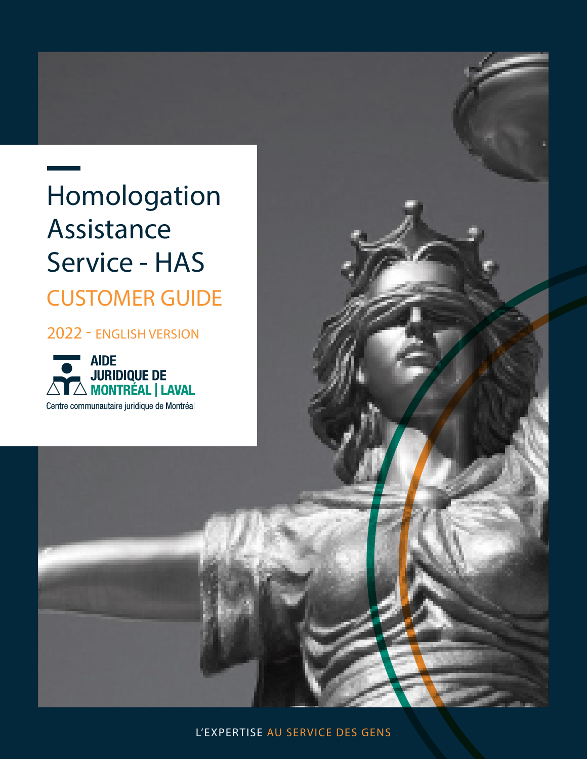# Homologation Assistance Service - HAS CUSTOMER GUIDE

2022 - ENGLISH VERSION

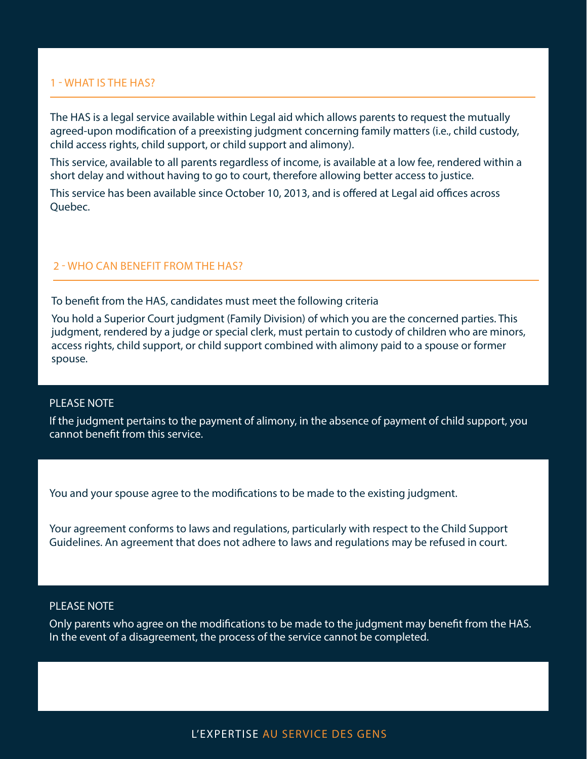# 1 - WHAT IS THE HAS?

The HAS is a legal service available within Legal aid which allows parents to request the mutually agreed-upon modification of a preexisting judgment concerning family matters (i.e., child custody, child access rights, child support, or child support and alimony).

This service, available to all parents regardless of income, is available at a low fee, rendered within a short delay and without having to go to court, therefore allowing better access to justice.

This service has been available since October 10, 2013, and is offered at Legal aid offices across Quebec.

# 2 - WHO CAN BENEFIT FROM THE HAS?

To benefit from the HAS, candidates must meet the following criteria

You hold a Superior Court judgment (Family Division) of which you are the concerned parties. This judgment, rendered by a judge or special clerk, must pertain to custody of children who are minors, access rights, child support, or child support combined with alimony paid to a spouse or former spouse.

### PLEASE NOTE

If the judgment pertains to the payment of alimony, in the absence of payment of child support, you cannot benefit from this service.

You and your spouse agree to the modifications to be made to the existing judgment.

Your agreement conforms to laws and regulations, particularly with respect to the Child Support Guidelines. An agreement that does not adhere to laws and regulations may be refused in court.

# PLEASE NOTE

Only parents who agree on the modifications to be made to the judgment may benefit from the HAS. In the event of a disagreement, the process of the service cannot be completed.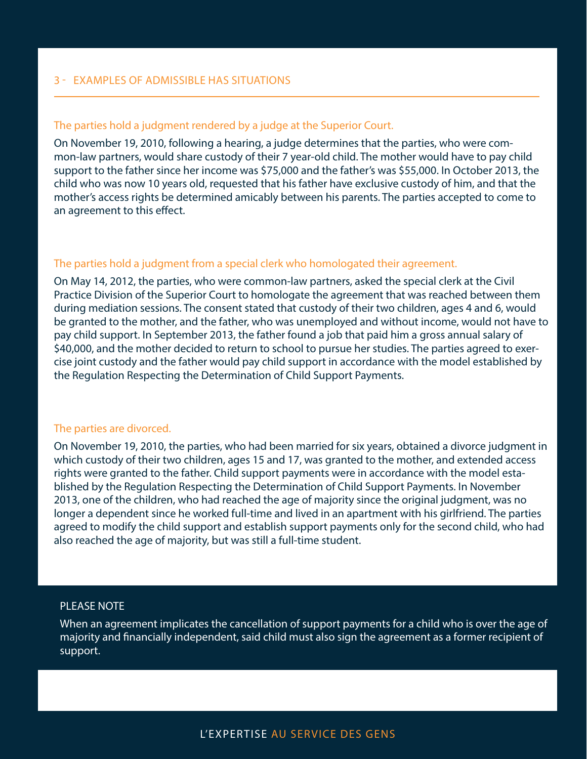# The parties hold a judgment rendered by a judge at the Superior Court.

On November 19, 2010, following a hearing, a judge determines that the parties, who were common-law partners, would share custody of their 7 year-old child. The mother would have to pay child support to the father since her income was \$75,000 and the father's was \$55,000. In October 2013, the child who was now 10 years old, requested that his father have exclusive custody of him, and that the mother's access rights be determined amicably between his parents. The parties accepted to come to an agreement to this effect.

# The parties hold a judgment from a special clerk who homologated their agreement.

On May 14, 2012, the parties, who were common-law partners, asked the special clerk at the Civil Practice Division of the Superior Court to homologate the agreement that was reached between them during mediation sessions. The consent stated that custody of their two children, ages 4 and 6, would be granted to the mother, and the father, who was unemployed and without income, would not have to pay child support. In September 2013, the father found a job that paid him a gross annual salary of \$40,000, and the mother decided to return to school to pursue her studies. The parties agreed to exercise joint custody and the father would pay child support in accordance with the model established by the Regulation Respecting the Determination of Child Support Payments.

## The parties are divorced.

On November 19, 2010, the parties, who had been married for six years, obtained a divorce judgment in which custody of their two children, ages 15 and 17, was granted to the mother, and extended access rights were granted to the father. Child support payments were in accordance with the model established by the Regulation Respecting the Determination of Child Support Payments. In November 2013, one of the children, who had reached the age of majority since the original judgment, was no longer a dependent since he worked full-time and lived in an apartment with his girlfriend. The parties agreed to modify the child support and establish support payments only for the second child, who had also reached the age of majority, but was still a full-time student.

#### PLEASE NOTE

When an agreement implicates the cancellation of support payments for a child who is over the age of majority and financially independent, said child must also sign the agreement as a former recipient of support.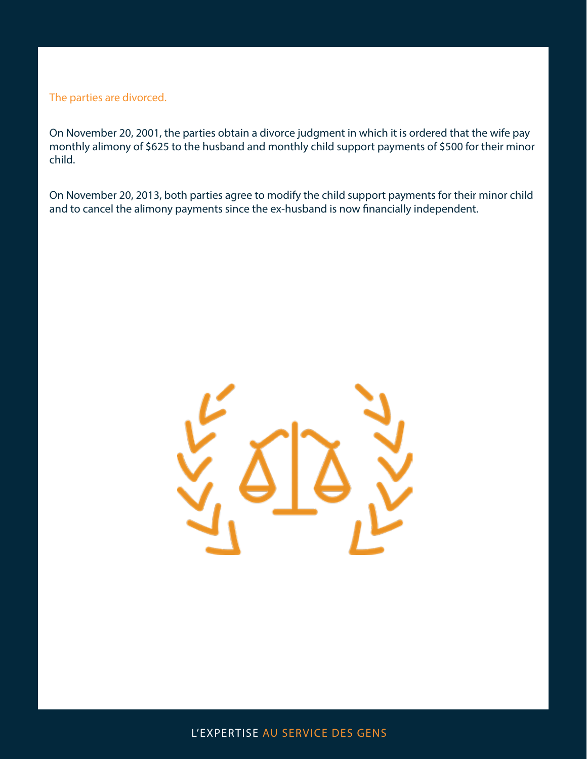The parties are divorced.

On November 20, 2001, the parties obtain a divorce judgment in which it is ordered that the wife pay monthly alimony of \$625 to the husband and monthly child support payments of \$500 for their minor child.

On November 20, 2013, both parties agree to modify the child support payments for their minor child and to cancel the alimony payments since the ex-husband is now financially independent.

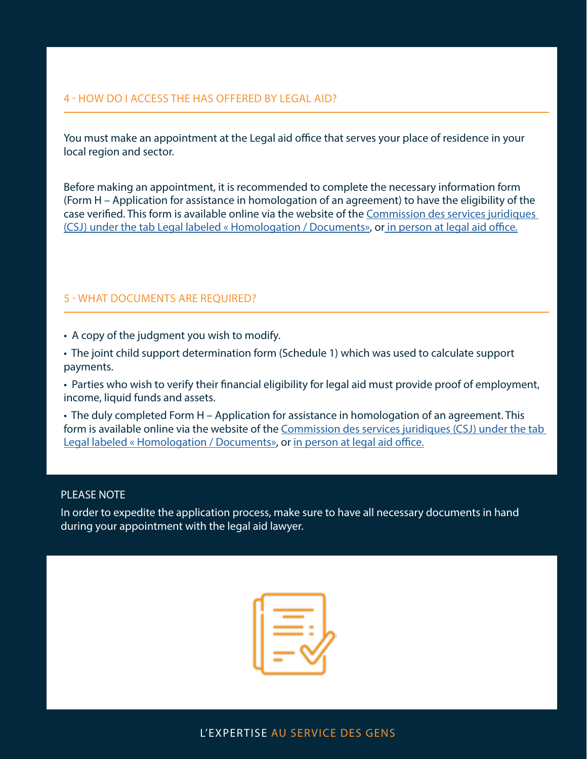# 4 - HOW DO I ACCESS THE HAS OFFERED BY LEGAL AID?

You must make an appointment at the Legal aid office that serves your place of residence in your local region and sector.

Before making an appointment, it is recommended to complete the necessary information form (Form H – Application for assistance in homologation of an agreement) to have the eligibility of the case verified. This form is available online via the website of the [Commission des services juridiques](https://www.csj.qc.ca/commission-des-services-juridiques/aide-juridique/homologation-formulaire-h/en)  [\(CSJ\) under the tab Legal labeled « Homologation / Documents»,](https://www.csj.qc.ca/commission-des-services-juridiques/aide-juridique/homologation-formulaire-h/en) o[r in person at legal aid office.](https://www.aidejuridiquedemontreal.ca/en/find-a-service-point/)

# 5 - WHAT DOCUMENTS ARE REQUIRED?

- A copy of the judgment you wish to modify.
- The joint child support determination form (Schedule 1) which was used to calculate support payments.
- Parties who wish to verify their financial eligibility for legal aid must provide proof of employment, income, liquid funds and assets.

• The duly completed Form H – Application for assistance in homologation of an agreement. This form is available online via the website of the [Commission des services juridiques \(CSJ\) under the tab](https://www.csj.qc.ca/commission-des-services-juridiques/aide-juridique/homologation-formulaire-h/en)  [Legal labeled « Homologation / Documents»](https://www.csj.qc.ca/commission-des-services-juridiques/aide-juridique/homologation-formulaire-h/en), or [in person at legal aid office.](https://www.aidejuridiquedemontreal.ca/en/find-a-service-point/)

#### PLEASE NOTE

In order to expedite the application process, make sure to have all necessary documents in hand during your appointment with the legal aid lawyer.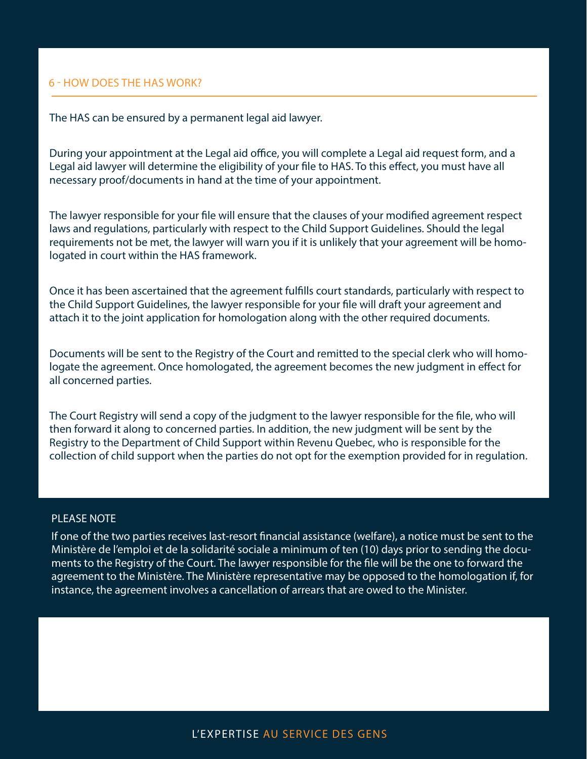#### 6 - HOW DOES THE HAS WORK?

The HAS can be ensured by a permanent legal aid lawyer.

During your appointment at the Legal aid office, you will complete a Legal aid request form, and a Legal aid lawyer will determine the eligibility of your file to HAS. To this effect, you must have all necessary proof/documents in hand at the time of your appointment.

The lawyer responsible for your file will ensure that the clauses of your modified agreement respect laws and regulations, particularly with respect to the Child Support Guidelines. Should the legal requirements not be met, the lawyer will warn you if it is unlikely that your agreement will be homologated in court within the HAS framework.

Once it has been ascertained that the agreement fulfills court standards, particularly with respect to the Child Support Guidelines, the lawyer responsible for your file will draft your agreement and attach it to the joint application for homologation along with the other required documents.

Documents will be sent to the Registry of the Court and remitted to the special clerk who will homologate the agreement. Once homologated, the agreement becomes the new judgment in effect for all concerned parties.

The Court Registry will send a copy of the judgment to the lawyer responsible for the file, who will then forward it along to concerned parties. In addition, the new judgment will be sent by the Registry to the Department of Child Support within Revenu Quebec, who is responsible for the collection of child support when the parties do not opt for the exemption provided for in regulation.

# PLEASE NOTE

If one of the two parties receives last-resort financial assistance (welfare), a notice must be sent to the Ministère de l'emploi et de la solidarité sociale a minimum of ten (10) days prior to sending the documents to the Registry of the Court. The lawyer responsible for the file will be the one to forward the agreement to the Ministère. The Ministère representative may be opposed to the homologation if, for instance, the agreement involves a cancellation of arrears that are owed to the Minister.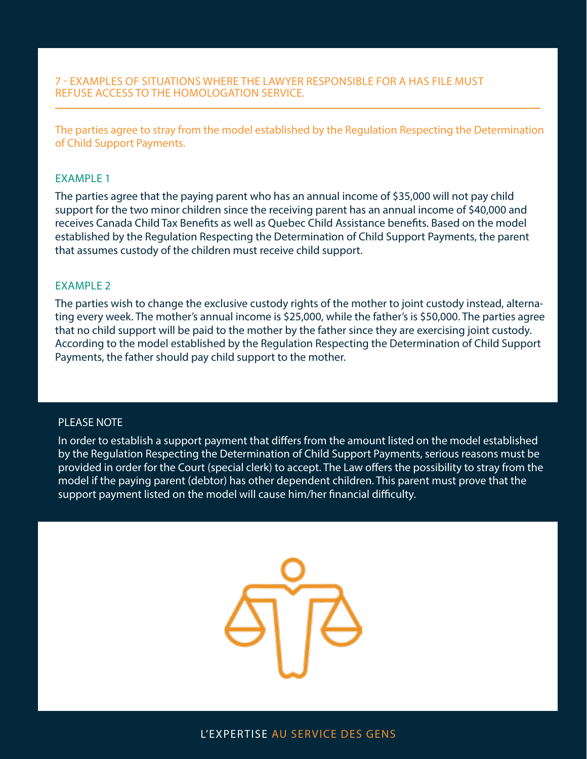The parties agree to stray from the model established by the Regulation Respecting the Determination of Child Support Payments.

### EXAMPLE 1

The parties agree that the paying parent who has an annual income of \$35,000 will not pay child support for the two minor children since the receiving parent has an annual income of \$40,000 and receives Canada Child Tax Benefits as well as Quebec Child Assistance benefits. Based on the model established by the Regulation Respecting the Determination of Child Support Payments, the parent that assumes custody of the children must receive child support.

### EXAMPLE 2

The parties wish to change the exclusive custody rights of the mother to joint custody instead, alternating every week. The mother's annual income is \$25,000, while the father's is \$50,000. The parties agree that no child support will be paid to the mother by the father since they are exercising joint custody. According to the model established by the Regulation Respecting the Determination of Child Support Payments, the father should pay child support to the mother.

# PLEASE NOTE

In order to establish a support payment that differs from the amount listed on the model established by the Regulation Respecting the Determination of Child Support Payments, serious reasons must be provided in order for the Court (special clerk) to accept. The Law offers the possibility to stray from the model if the paying parent (debtor) has other dependent children. This parent must prove that the support payment listed on the model will cause him/her financial difficulty.

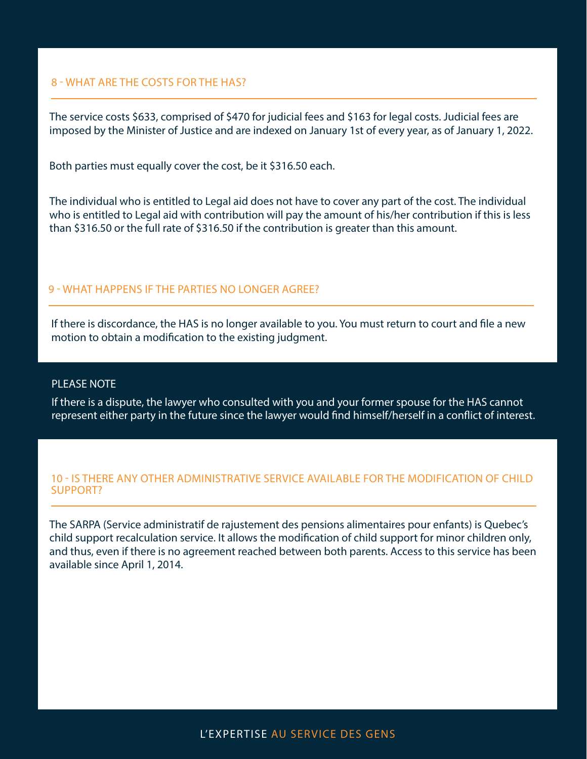## 8 - WHAT ARE THE COSTS FOR THE HAS?

The service costs \$633, comprised of \$470 for judicial fees and \$163 for legal costs. Judicial fees are imposed by the Minister of Justice and are indexed on January 1st of every year, as of January 1, 2022.

Both parties must equally cover the cost, be it \$316.50 each.

The individual who is entitled to Legal aid does not have to cover any part of the cost. The individual who is entitled to Legal aid with contribution will pay the amount of his/her contribution if this is less than \$316.50 or the full rate of \$316.50 if the contribution is greater than this amount.

# 9 - WHAT HAPPENS IF THE PARTIES NO LONGER AGREE?

If there is discordance, the HAS is no longer available to you. You must return to court and file a new motion to obtain a modification to the existing judgment.

# PLEASE NOTE

If there is a dispute, the lawyer who consulted with you and your former spouse for the HAS cannot represent either party in the future since the lawyer would find himself/herself in a conflict of interest.

# 10 - IS THERE ANY OTHER ADMINISTRATIVE SERVICE AVAILABLE FOR THE MODIFICATION OF CHILD SUPPORT?

The SARPA (Service administratif de rajustement des pensions alimentaires pour enfants) is Quebec's child support recalculation service. It allows the modification of child support for minor children only, and thus, even if there is no agreement reached between both parents. Access to this service has been available since April 1, 2014.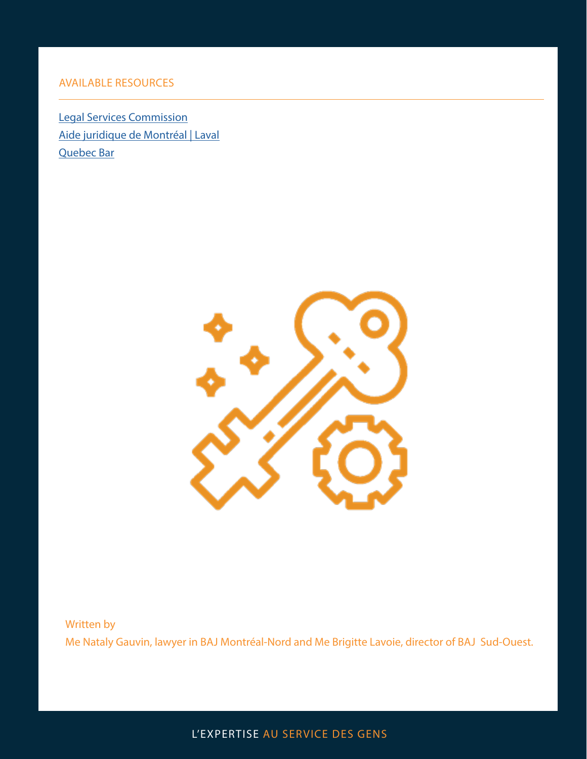# AVAILABLE RESOURCES

[Legal Services Commission](https://www.csj.qc.ca/commission-des-services-juridiques/aide-juridique/Homologation/en) [Aide juridique de Montréal | Laval](https://www.aidejuridiquedemontreal.ca/en/) [Quebec Bar](https://www.barreau.qc.ca/en/)



Written by Me Nataly Gauvin, lawyer in BAJ Montréal-Nord and Me Brigitte Lavoie, director of BAJ Sud-Ouest.